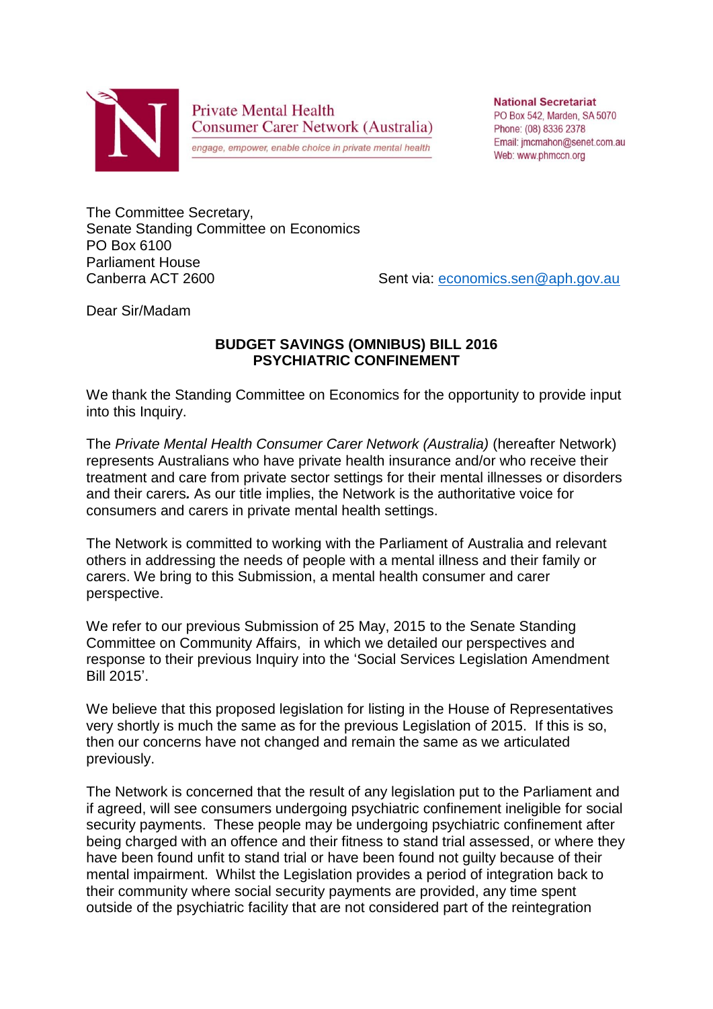

**Private Mental Health Consumer Carer Network (Australia)** 

engage, empower, enable choice in private mental health

**National Secretariat** PO Box 542, Marden, SA 5070 Phone: (08) 8336 2378 Email: imcmahon@senet.com.au Web: www.phmccn.org

The Committee Secretary, Senate Standing Committee on Economics PO Box 6100 Parliament House Canberra ACT 2600 Sent via: [economics.sen@aph.gov.au](mailto:economics.sen@aph.gov.au)

Dear Sir/Madam

## **BUDGET SAVINGS (OMNIBUS) BILL 2016 PSYCHIATRIC CONFINEMENT**

We thank the Standing Committee on Economics for the opportunity to provide input into this Inquiry.

The *Private Mental Health Consumer Carer Network (Australia)* (hereafter Network) represents Australians who have private health insurance and/or who receive their treatment and care from private sector settings for their mental illnesses or disorders and their carers*.* As our title implies, the Network is the authoritative voice for consumers and carers in private mental health settings.

The Network is committed to working with the Parliament of Australia and relevant others in addressing the needs of people with a mental illness and their family or carers. We bring to this Submission, a mental health consumer and carer perspective.

We refer to our previous Submission of 25 May, 2015 to the Senate Standing Committee on Community Affairs, in which we detailed our perspectives and response to their previous Inquiry into the 'Social Services Legislation Amendment Bill 2015'.

We believe that this proposed legislation for listing in the House of Representatives very shortly is much the same as for the previous Legislation of 2015. If this is so, then our concerns have not changed and remain the same as we articulated previously.

The Network is concerned that the result of any legislation put to the Parliament and if agreed, will see consumers undergoing psychiatric confinement ineligible for social security payments. These people may be undergoing psychiatric confinement after being charged with an offence and their fitness to stand trial assessed, or where they have been found unfit to stand trial or have been found not guilty because of their mental impairment. Whilst the Legislation provides a period of integration back to their community where social security payments are provided, any time spent outside of the psychiatric facility that are not considered part of the reintegration